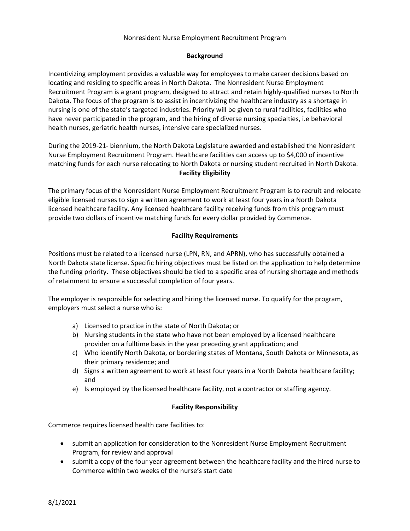### Nonresident Nurse Employment Recruitment Program

# **Background**

Incentivizing employment provides a valuable way for employees to make career decisions based on locating and residing to specific areas in North Dakota. The Nonresident Nurse Employment Recruitment Program is a grant program, designed to attract and retain highly-qualified nurses to North Dakota. The focus of the program is to assist in incentivizing the healthcare industry as a shortage in nursing is one of the state's targeted industries. Priority will be given to rural facilities, facilities who have never participated in the program, and the hiring of diverse nursing specialties, i.e behavioral health nurses, geriatric health nurses, intensive care specialized nurses.

During the 2019-21- biennium, the North Dakota Legislature awarded and established the Nonresident Nurse Employment Recruitment Program. Healthcare facilities can access up to \$4,000 of incentive matching funds for each nurse relocating to North Dakota or nursing student recruited in North Dakota. **Facility Eligibility**

The primary focus of the Nonresident Nurse Employment Recruitment Program is to recruit and relocate eligible licensed nurses to sign a written agreement to work at least four years in a North Dakota licensed healthcare facility. Any licensed healthcare facility receiving funds from this program must provide two dollars of incentive matching funds for every dollar provided by Commerce.

# **Facility Requirements**

Positions must be related to a licensed nurse (LPN, RN, and APRN), who has successfully obtained a North Dakota state license. Specific hiring objectives must be listed on the application to help determine the funding priority. These objectives should be tied to a specific area of nursing shortage and methods of retainment to ensure a successful completion of four years.

The employer is responsible for selecting and hiring the licensed nurse. To qualify for the program, employers must select a nurse who is:

- a) Licensed to practice in the state of North Dakota; or
- b) Nursing students in the state who have not been employed by a licensed healthcare provider on a fulltime basis in the year preceding grant application; and
- c) Who identify North Dakota, or bordering states of Montana, South Dakota or Minnesota, as their primary residence; and
- d) Signs a written agreement to work at least four years in a North Dakota healthcare facility; and
- e) Is employed by the licensed healthcare facility, not a contractor or staffing agency.

# **Facility Responsibility**

Commerce requires licensed health care facilities to:

- submit an application for consideration to the Nonresident Nurse Employment Recruitment Program, for review and approval
- submit a copy of the four year agreement between the healthcare facility and the hired nurse to Commerce within two weeks of the nurse's start date